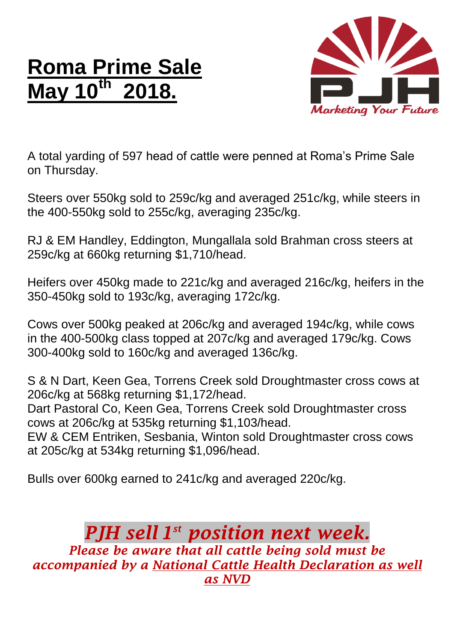## **Roma Prime Sale May 10th 2018.**



A total yarding of 597 head of cattle were penned at Roma's Prime Sale on Thursday.

Steers over 550kg sold to 259c/kg and averaged 251c/kg, while steers in the 400-550kg sold to 255c/kg, averaging 235c/kg.

RJ & EM Handley, Eddington, Mungallala sold Brahman cross steers at 259c/kg at 660kg returning \$1,710/head.

Heifers over 450kg made to 221c/kg and averaged 216c/kg, heifers in the 350-450kg sold to 193c/kg, averaging 172c/kg.

Cows over 500kg peaked at 206c/kg and averaged 194c/kg, while cows in the 400-500kg class topped at 207c/kg and averaged 179c/kg. Cows 300-400kg sold to 160c/kg and averaged 136c/kg.

S & N Dart, Keen Gea, Torrens Creek sold Droughtmaster cross cows at 206c/kg at 568kg returning \$1,172/head.

Dart Pastoral Co, Keen Gea, Torrens Creek sold Droughtmaster cross cows at 206c/kg at 535kg returning \$1,103/head.

EW & CEM Entriken, Sesbania, Winton sold Droughtmaster cross cows at 205c/kg at 534kg returning \$1,096/head.

Bulls over 600kg earned to 241c/kg and averaged 220c/kg.

## *PJH sell 1 st position next week.*

*Please be aware that all cattle being sold must be accompanied by a National Cattle Health Declaration as well as NVD*